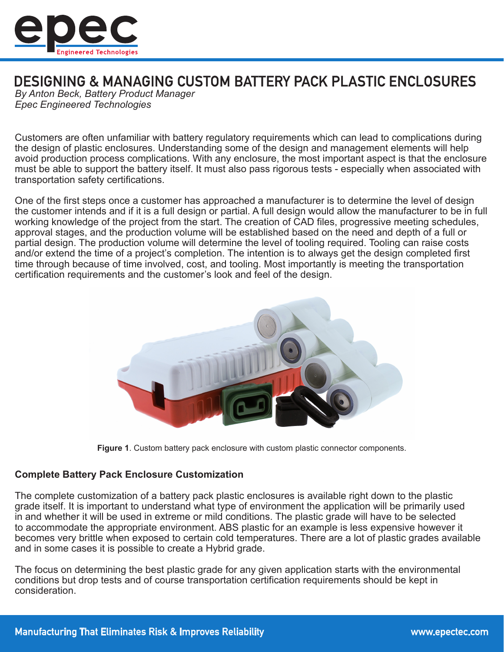

# **DESIGNING & MANAGING CUSTOM BATTERY PACK PLASTIC ENCLOSURES**

*By Anton Beck, Battery Product Manager Epec Engineered Technologies*

Customers are often unfamiliar with battery regulatory requirements which can lead to complications during the design of plastic enclosures. Understanding some of the design and management elements will help avoid production process complications. With any enclosure, the most important aspect is that the enclosure must be able to support the battery itself. It must also pass rigorous tests - especially when associated with transportation safety certifications.

One of the first steps once a customer has approached a manufacturer is to determine the level of design the customer intends and if it is a full design or partial. A full design would allow the manufacturer to be in full working knowledge of the project from the start. The creation of CAD files, progressive meeting schedules, approval stages, and the production volume will be established based on the need and depth of a full or partial design. The production volume will determine the level of tooling required. Tooling can raise costs and/or extend the time of a project's completion. The intention is to always get the design completed first time through because of time involved, cost, and tooling. Most importantly is meeting the transportation certification requirements and the customer's look and feel of the design.



**Figure 1**. Custom battery pack enclosure with custom plastic connector components.

## **Complete Battery Pack Enclosure Customization**

The complete customization of a battery pack plastic enclosures is available right down to the plastic grade itself. It is important to understand what type of environment the application will be primarily used in and whether it will be used in extreme or mild conditions. The plastic grade will have to be selected to accommodate the appropriate environment. ABS plastic for an example is less expensive however it becomes very brittle when exposed to certain cold temperatures. There are a lot of plastic grades available and in some cases it is possible to create a Hybrid grade.

The focus on determining the best plastic grade for any given application starts with the environmental conditions but drop tests and of course transportation certification requirements should be kept in consideration.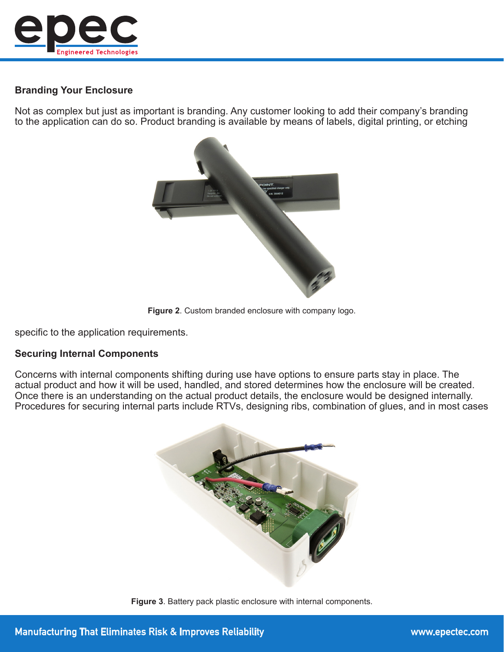

# **Branding Your Enclosure**

Not as complex but just as important is branding. Any customer looking to add their company's branding to the application can do so. Product branding is available by means of labels, digital printing, or etching



**Figure 2**. Custom branded enclosure with company logo.

specific to the application requirements.

#### **Securing Internal Components**

Concerns with internal components shifting during use have options to ensure parts stay in place. The actual product and how it will be used, handled, and stored determines how the enclosure will be created. Once there is an understanding on the actual product details, the enclosure would be designed internally. Procedures for securing internal parts include RTVs, designing ribs, combination of glues, and in most cases



**Figure 3**. Battery pack plastic enclosure with internal components.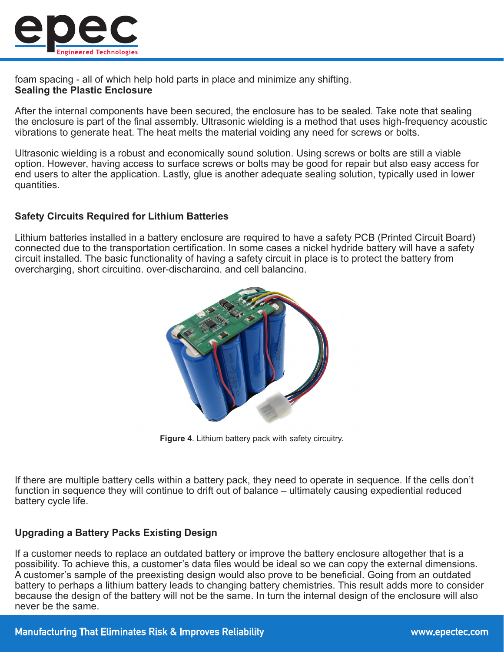

foam spacing - all of which help hold parts in place and minimize any shifting. **Sealing the Plastic Enclosure**

After the internal components have been secured, the enclosure has to be sealed. Take note that sealing the enclosure is part of the final assembly. Ultrasonic wielding is a method that uses high-frequency acoustic vibrations to generate heat. The heat melts the material voiding any need for screws or bolts.

Ultrasonic wielding is a robust and economically sound solution. Using screws or bolts are still a viable option. However, having access to surface screws or bolts may be good for repair but also easy access for end users to alter the application. Lastly, glue is another adequate sealing solution, typically used in lower quantities.

### **Safety Circuits Required for Lithium Batteries**

Lithium batteries installed in a battery enclosure are required to have a safety PCB (Printed Circuit Board) connected due to the transportation certification. In some cases a nickel hydride battery will have a safety circuit installed. The basic functionality of having a safety circuit in place is to protect the battery from overcharging, short circuiting, over-discharging, and cell balancing.



**Figure 4**. Lithium battery pack with safety circuitry.

If there are multiple battery cells within a battery pack, they need to operate in sequence. If the cells don't function in sequence they will continue to drift out of balance – ultimately causing expediential reduced battery cycle life.

# **Upgrading a Battery Packs Existing Design**

If a customer needs to replace an outdated battery or improve the battery enclosure altogether that is a possibility. To achieve this, a customer's data files would be ideal so we can copy the external dimensions. A customer's sample of the preexisting design would also prove to be beneficial. Going from an outdated battery to perhaps a lithium battery leads to changing battery chemistries. This result adds more to consider because the design of the battery will not be the same. In turn the internal design of the enclosure will also never be the same.